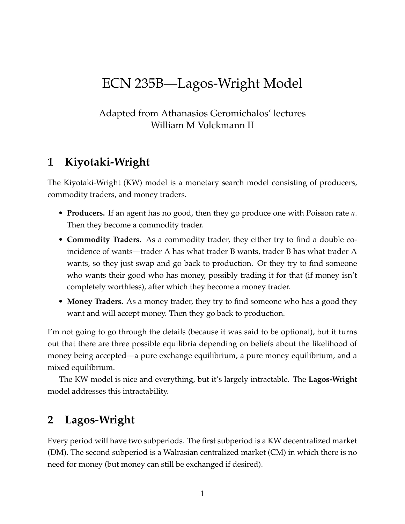# ECN 235B—Lagos-Wright Model

## Adapted from Athanasios Geromichalos' lectures William M Volckmann II

# **1 Kiyotaki-Wright**

The Kiyotaki-Wright (KW) model is a monetary search model consisting of producers, commodity traders, and money traders.

- **Producers.** If an agent has no good, then they go produce one with Poisson rate *a*. Then they become a commodity trader.
- **Commodity Traders.** As a commodity trader, they either try to find a double coincidence of wants—trader A has what trader B wants, trader B has what trader A wants, so they just swap and go back to production. Or they try to find someone who wants their good who has money, possibly trading it for that (if money isn't completely worthless), after which they become a money trader.
- **Money Traders.** As a money trader, they try to find someone who has a good they want and will accept money. Then they go back to production.

I'm not going to go through the details (because it was said to be optional), but it turns out that there are three possible equilibria depending on beliefs about the likelihood of money being accepted—a pure exchange equilibrium, a pure money equilibrium, and a mixed equilibrium.

The KW model is nice and everything, but it's largely intractable. The **Lagos-Wright** model addresses this intractability.

# **2 Lagos-Wright**

Every period will have two subperiods. The first subperiod is a KW decentralized market (DM). The second subperiod is a Walrasian centralized market (CM) in which there is no need for money (but money can still be exchanged if desired).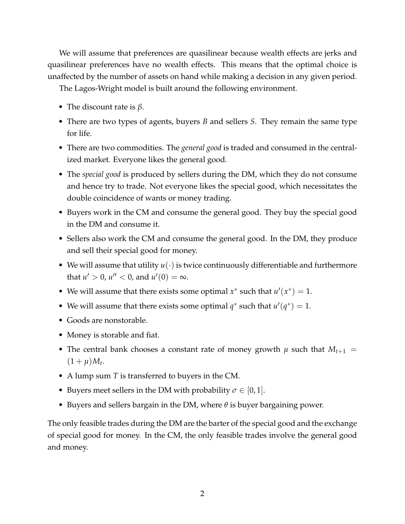We will assume that preferences are quasilinear because wealth effects are jerks and quasilinear preferences have no wealth effects. This means that the optimal choice is unaffected by the number of assets on hand while making a decision in any given period.

The Lagos-Wright model is built around the following environment.

- The discount rate is *β*.
- There are two types of agents, buyers *B* and sellers *S*. They remain the same type for life.
- There are two commodities. The *general good* is traded and consumed in the centralized market. Everyone likes the general good.
- The *special good* is produced by sellers during the DM, which they do not consume and hence try to trade. Not everyone likes the special good, which necessitates the double coincidence of wants or money trading.
- Buyers work in the CM and consume the general good. They buy the special good in the DM and consume it.
- Sellers also work the CM and consume the general good. In the DM, they produce and sell their special good for money.
- We will assume that utility  $u(\cdot)$  is twice continuously differentiable and furthermore that  $u' > 0$ ,  $u'' < 0$ , and  $u'(0) = \infty$ .
- We will assume that there exists some optimal  $x^*$  such that  $u'(x^*) = 1$ .
- We will assume that there exists some optimal  $q^*$  such that  $u'(q^*) = 1$ .
- Goods are nonstorable.
- Money is storable and fiat.
- The central bank chooses a constant rate of money growth  $\mu$  such that  $M_{t+1}$  =  $(1 + \mu)M_t$ .
- A lump sum *T* is transferred to buyers in the CM.
- Buyers meet sellers in the DM with probability  $\sigma \in [0, 1]$ .
- Buyers and sellers bargain in the DM, where *θ* is buyer bargaining power.

The only feasible trades during the DM are the barter of the special good and the exchange of special good for money. In the CM, the only feasible trades involve the general good and money.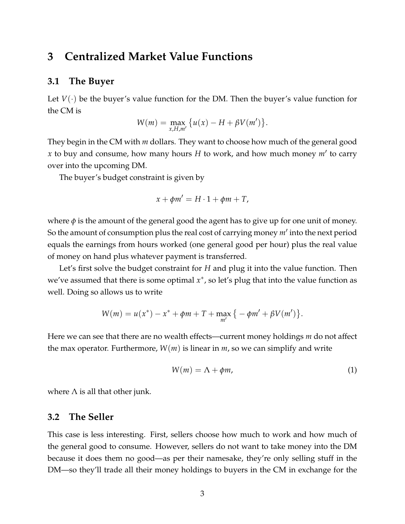## **3 Centralized Market Value Functions**

### **3.1 The Buyer**

Let  $V(\cdot)$  be the buyer's value function for the DM. Then the buyer's value function for the CM is

$$
W(m) = \max_{x,H,m'} \{u(x) - H + \beta V(m')\}.
$$

They begin in the CM with *m* dollars. They want to choose how much of the general good *x* to buy and consume, how many hours *H* to work, and how much money *m*′ to carry over into the upcoming DM.

The buyer's budget constraint is given by

$$
x + \phi m' = H \cdot 1 + \phi m + T,
$$

where  $\phi$  is the amount of the general good the agent has to give up for one unit of money. So the amount of consumption plus the real cost of carrying money *m*′ into the next period equals the earnings from hours worked (one general good per hour) plus the real value of money on hand plus whatever payment is transferred.

Let's first solve the budget constraint for *H* and plug it into the value function. Then we've assumed that there is some optimal  $x^*$ , so let's plug that into the value function as well. Doing so allows us to write

$$
W(m) = u(x^*) - x^* + \phi m + T + \max_{m'} \{-\phi m' + \beta V(m')\}.
$$

Here we can see that there are no wealth effects—current money holdings *m* do not affect the max operator. Furthermore,  $W(m)$  is linear in  $m$ , so we can simplify and write

$$
W(m) = \Lambda + \phi m, \tag{1}
$$

where  $\Lambda$  is all that other junk.

#### **3.2 The Seller**

This case is less interesting. First, sellers choose how much to work and how much of the general good to consume. However, sellers do not want to take money into the DM because it does them no good—as per their namesake, they're only selling stuff in the DM—so they'll trade all their money holdings to buyers in the CM in exchange for the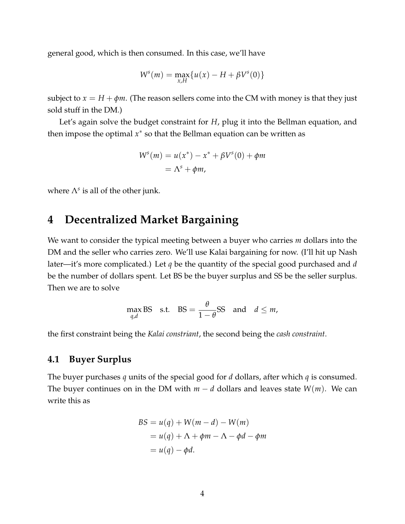general good, which is then consumed. In this case, we'll have

$$
W^{s}(m) = \max_{x,H} \{ u(x) - H + \beta V^{s}(0) \}
$$

subject to  $x = H + \phi m$ . (The reason sellers come into the CM with money is that they just sold stuff in the DM.)

Let's again solve the budget constraint for *H*, plug it into the Bellman equation, and then impose the optimal *x*<sup>∗</sup> so that the Bellman equation can be written as

$$
Ws(m) = u(x*) - x* + \beta Vs(0) + \phi m
$$
  
=  $\Lambdas + \phi m$ ,

where  $\Lambda^s$  is all of the other junk.

# **4 Decentralized Market Bargaining**

We want to consider the typical meeting between a buyer who carries *m* dollars into the DM and the seller who carries zero. We'll use Kalai bargaining for now. (I'll hit up Nash later—it's more complicated.) Let *q* be the quantity of the special good purchased and *d* be the number of dollars spent. Let BS be the buyer surplus and SS be the seller surplus. Then we are to solve

$$
\max_{q,d} \text{BS} \quad \text{s.t.} \quad \text{BS} = \frac{\theta}{1-\theta} \text{SS} \quad \text{and} \quad d \leq m,
$$

the first constraint being the *Kalai constriant*, the second being the *cash constraint*.

## **4.1 Buyer Surplus**

The buyer purchases *q* units of the special good for *d* dollars, after which *q* is consumed. The buyer continues on in the DM with  $m - d$  dollars and leaves state  $W(m)$ . We can write this as

$$
BS = u(q) + W(m - d) - W(m)
$$
  
=  $u(q) + \Lambda + \phi m - \Lambda - \phi d - \phi m$   
=  $u(q) - \phi d$ .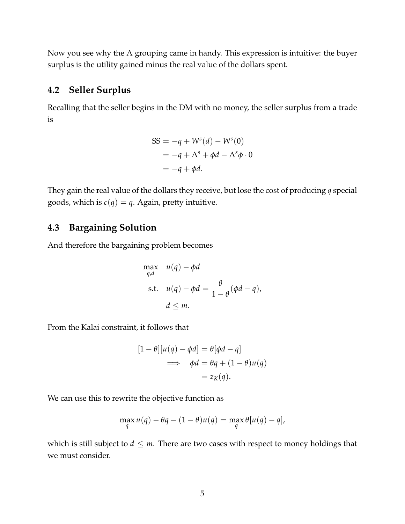Now you see why the  $\Lambda$  grouping came in handy. This expression is intuitive: the buyer surplus is the utility gained minus the real value of the dollars spent.

## **4.2 Seller Surplus**

Recalling that the seller begins in the DM with no money, the seller surplus from a trade is

$$
SS = -q + Ws(d) - Ws(0)
$$
  
= -q + \Lambda<sup>s</sup> + \phi d - \Lambda<sup>s</sup>\phi \cdot 0  
= -q + \phi d.

They gain the real value of the dollars they receive, but lose the cost of producing *q* special goods, which is  $c(q) = q$ . Again, pretty intuitive.

## **4.3 Bargaining Solution**

And therefore the bargaining problem becomes

$$
\max_{q,d} \quad u(q) - \phi d
$$
\n
$$
\text{s.t.} \quad u(q) - \phi d = \frac{\theta}{1 - \theta} (\phi d - q),
$$
\n
$$
d \leq m.
$$

From the Kalai constraint, it follows that

$$
[1 - \theta][u(q) - \phi d] = \theta[\phi d - q]
$$
  

$$
\implies \phi d = \theta q + (1 - \theta)u(q)
$$
  

$$
= z_K(q).
$$

We can use this to rewrite the objective function as

$$
\max_{q} u(q) - \theta q - (1 - \theta)u(q) = \max_{q} \theta[u(q) - q],
$$

which is still subject to  $d \leq m$ . There are two cases with respect to money holdings that we must consider.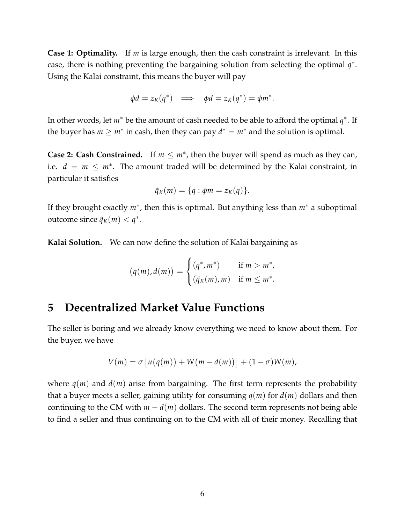**Case 1: Optimality.** If *m* is large enough, then the cash constraint is irrelevant. In this case, there is nothing preventing the bargaining solution from selecting the optimal *q* ∗ . Using the Kalai constraint, this means the buyer will pay

$$
\phi d = z_K(q^*) \implies \phi d = z_K(q^*) = \phi m^*.
$$

In other words, let *m*<sup>∗</sup> be the amount of cash needed to be able to afford the optimal *q* ∗ . If the buyer has  $m \geq m^*$  in cash, then they can pay  $d^* = m^*$  and the solution is optimal.

**Case 2: Cash Constrained.** If  $m \leq m^*$ , then the buyer will spend as much as they can, i.e.  $d = m \leq m^*$ . The amount traded will be determined by the Kalai constraint, in particular it satisfies

$$
\tilde{q}_K(m) = \{q : \phi m = z_K(q)\}.
$$

If they brought exactly *m*<sup>∗</sup>, then this is optimal. But anything less than *m*<sup>∗</sup> a suboptimal outcome since  $\tilde{q}_K(m) < q^*$ .

**Kalai Solution.** We can now define the solution of Kalai bargaining as

$$
(q(m), d(m)) = \begin{cases} (q^*, m^*) & \text{if } m > m^*, \\ (\tilde{q}_K(m), m) & \text{if } m \leq m^*. \end{cases}
$$

# **5 Decentralized Market Value Functions**

The seller is boring and we already know everything we need to know about them. For the buyer, we have

$$
V(m) = \sigma \left[ u(q(m)) + W(m - d(m)) \right] + (1 - \sigma)W(m),
$$

where  $q(m)$  and  $d(m)$  arise from bargaining. The first term represents the probability that a buyer meets a seller, gaining utility for consuming *q*(*m*) for *d*(*m*) dollars and then continuing to the CM with  $m - d(m)$  dollars. The second term represents not being able to find a seller and thus continuing on to the CM with all of their money. Recalling that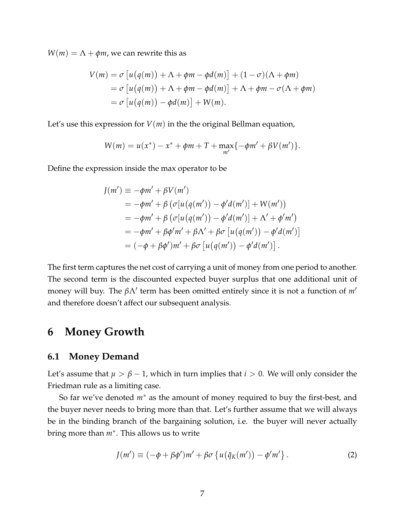$W(m) = \Lambda + \phi m$ , we can rewrite this as

$$
V(m) = \sigma \left[ u(q(m)) + \Lambda + \phi m - \phi d(m) \right] + (1 - \sigma)(\Lambda + \phi m)
$$
  
=  $\sigma \left[ u(q(m)) + \Lambda + \phi m - \phi d(m) \right] + \Lambda + \phi m - \sigma(\Lambda + \phi m)$   
=  $\sigma \left[ u(q(m)) - \phi d(m) \right] + W(m).$ 

Let's use this expression for  $V(m)$  in the the original Bellman equation,

$$
W(m) = u(x^*) - x^* + \phi m + T + \max_{m'} \{-\phi m' + \beta V(m')\}.
$$

Define the expression inside the max operator to be

$$
J(m') \equiv -\phi m' + \beta V(m')
$$
  
=  $-\phi m' + \beta (\sigma[u(q(m')) - \phi'd(m')] + W(m'))$   
=  $-\phi m' + \beta (\sigma[u(q(m')) - \phi'd(m')] + \Lambda' + \phi'm')$   
=  $-\phi m' + \beta \phi'm' + \beta \Lambda' + \beta \sigma [u(q(m')) - \phi'd(m')]$   
=  $(-\phi + \beta \phi')m' + \beta \sigma [u(q(m')) - \phi'd(m')].$ 

The first term captures the net cost of carrying a unit of money from one period to another. The second term is the discounted expected buyer surplus that one additional unit of money will buy. The *β*Λ′ term has been omitted entirely since it is not a function of *m*′ and therefore doesn't affect our subsequent analysis.

## **6 Money Growth**

#### **6.1 Money Demand**

Let's assume that  $\mu > \beta - 1$ , which in turn implies that  $i > 0$ . We will only consider the Friedman rule as a limiting case.

So far we've denoted *m*<sup>∗</sup> as the amount of money required to buy the first-best, and the buyer never needs to bring more than that. Let's further assume that we will always be in the binding branch of the bargaining solution, i.e. the buyer will never actually bring more than *m*<sup>∗</sup> . This allows us to write

$$
J(m') \equiv (-\phi + \beta \phi')m' + \beta \sigma \left\{ u(\tilde{q}_K(m')) - \phi' m' \right\}.
$$
 (2)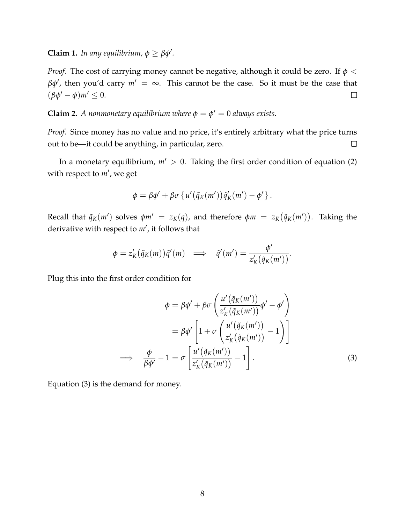**Claim 1.** *In any equilibrium,*  $\phi \geq \beta \phi'$ *.* 

*Proof.* The cost of carrying money cannot be negative, although it could be zero. If *ϕ* < *βϕ*′ , then you'd carry *m*′ = ∞. This cannot be the case. So it must be the case that  $(\beta \phi' - \phi)m' \leq 0.$  $\Box$ 

**Claim 2.** *A nonmonetary equilibrium where*  $\phi = \phi' = 0$  *always exists.* 

*Proof.* Since money has no value and no price, it's entirely arbitrary what the price turns out to be—it could be anything, in particular, zero.  $\Box$ 

In a monetary equilibrium,  $m' > 0$ . Taking the first order condition of equation (2) with respect to *m*′ , we get

$$
\phi = \beta \phi' + \beta \sigma \left\{ u' \left( \tilde{q}_K(m') \right) \tilde{q}'_K(m') - \phi' \right\}.
$$

Recall that  $\tilde{q}_K(m')$  solves  $\phi m' = z_K(q)$ , and therefore  $\phi m = z_K(\tilde{q}_K(m'))$ . Taking the derivative with respect to *m*′ , it follows that

$$
\phi = z'_{K}(\tilde{q}_{K}(m))\tilde{q}'(m) \implies \tilde{q}'(m') = \frac{\phi'}{z'_{K}(\tilde{q}_{K}(m'))}.
$$

Plug this into the first order condition for

$$
\phi = \beta \phi' + \beta \sigma \left( \frac{u'(\tilde{q}_K(m'))}{z'_K(\tilde{q}_K(m'))} \phi' - \phi' \right)
$$

$$
= \beta \phi' \left[ 1 + \sigma \left( \frac{u'(\tilde{q}_K(m'))}{z'_K(\tilde{q}_K(m'))} - 1 \right) \right]
$$

$$
\implies \frac{\phi}{\beta \phi'} - 1 = \sigma \left[ \frac{u'(\tilde{q}_K(m'))}{z'_K(\tilde{q}_K(m'))} - 1 \right]. \tag{3}
$$

Equation (3) is the demand for money.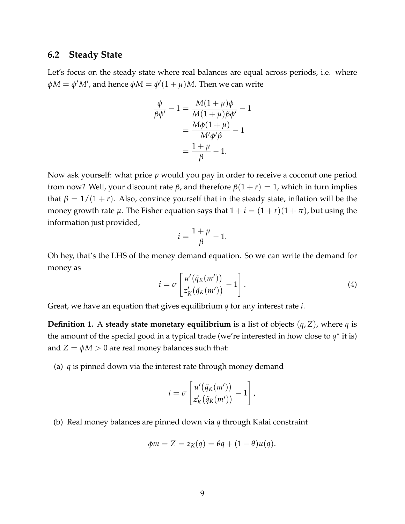### **6.2 Steady State**

Let's focus on the steady state where real balances are equal across periods, i.e. where  $\phi M = \phi' M'$ , and hence  $\phi M = \phi' (1 + \mu) M$ . Then we can write

$$
\frac{\phi}{\beta \phi'} - 1 = \frac{M(1+\mu)\phi}{M(1+\mu)\beta \phi'} - 1
$$

$$
= \frac{M\phi(1+\mu)}{M'\phi'\beta} - 1
$$

$$
= \frac{1+\mu}{\beta} - 1.
$$

Now ask yourself: what price *p* would you pay in order to receive a coconut one period from now? Well, your discount rate *β*, and therefore *β*(1 + *r*) = 1, which in turn implies that  $\beta = 1/(1 + r)$ . Also, convince yourself that in the steady state, inflation will be the money growth rate  $\mu$ . The Fisher equation says that  $1 + i = (1 + r)(1 + \pi)$ , but using the information just provided,

$$
i = \frac{1+\mu}{\beta} - 1.
$$

Oh hey, that's the LHS of the money demand equation. So we can write the demand for money as

$$
i = \sigma \left[ \frac{u'(\tilde{q}_K(m'))}{z'_K(\tilde{q}_K(m'))} - 1 \right].
$$
 (4)

Great, we have an equation that gives equilibrium *q* for any interest rate *i*.

**Definition 1.** A **steady state monetary equilibrium** is a list of objects  $(q, Z)$ , where q is the amount of the special good in a typical trade (we're interested in how close to  $q^*$  it is) and  $Z = \phi M > 0$  are real money balances such that:

(a) *q* is pinned down via the interest rate through money demand

$$
i = \sigma \left[ \frac{u'(\tilde{q}_K(m'))}{z'_K(\tilde{q}_K(m'))} - 1 \right],
$$

(b) Real money balances are pinned down via *q* through Kalai constraint

$$
\phi m = Z = z_K(q) = \theta q + (1 - \theta)u(q).
$$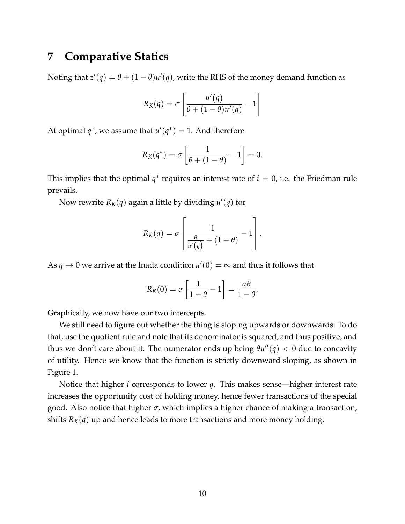## **7 Comparative Statics**

Noting that  $z'(q) = \theta + (1 - \theta)u'(q)$ , write the RHS of the money demand function as

$$
R_K(q) = \sigma \left[ \frac{u'(q)}{\theta + (1-\theta)u'(q)} - 1 \right]
$$

At optimal  $q^*$ , we assume that  $u'(q^*) = 1$ . And therefore

$$
R_K(q^*) = \sigma \left[ \frac{1}{\theta + (1 - \theta)} - 1 \right] = 0.
$$

This implies that the optimal  $q^*$  requires an interest rate of  $i = 0$ , i.e. the Friedman rule prevails.

Now rewrite  $R_K(q)$  again a little by dividing  $u'(q)$  for

$$
R_K(q) = \sigma \left[ \frac{1}{\frac{\theta}{u'(q)} + (1-\theta)} - 1 \right].
$$

As  $q \to 0$  we arrive at the Inada condition  $u'(0) = \infty$  and thus it follows that

$$
R_K(0) = \sigma \left[ \frac{1}{1 - \theta} - 1 \right] = \frac{\sigma \theta}{1 - \theta}.
$$

Graphically, we now have our two intercepts.

We still need to figure out whether the thing is sloping upwards or downwards. To do that, use the quotient rule and note that its denominator is squared, and thus positive, and thus we don't care about it. The numerator ends up being  $\theta u''(q) < 0$  due to concavity of utility. Hence we know that the function is strictly downward sloping, as shown in Figure 1.

Notice that higher *i* corresponds to lower *q*. This makes sense—higher interest rate increases the opportunity cost of holding money, hence fewer transactions of the special good. Also notice that higher *σ*, which implies a higher chance of making a transaction, shifts  $R_K(q)$  up and hence leads to more transactions and more money holding.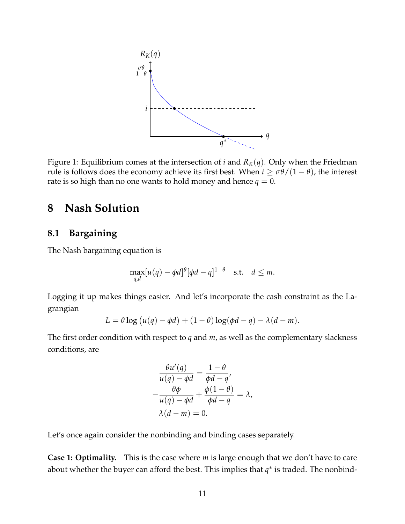

Figure 1: Equilibrium comes at the intersection of *i* and  $R_K(q)$ . Only when the Friedman rule is follows does the economy achieve its first best. When  $i \geq \sigma \theta/(1-\theta)$ , the interest rate is so high than no one wants to hold money and hence  $q = 0$ .

# **8 Nash Solution**

## **8.1 Bargaining**

The Nash bargaining equation is

$$
\max_{q,d}[u(q)-\phi d]^{\theta}[\phi d-q]^{1-\theta} \quad \text{s.t.} \quad d \leq m.
$$

Logging it up makes things easier. And let's incorporate the cash constraint as the Lagrangian

$$
L = \theta \log (u(q) - \phi d) + (1 - \theta) \log(\phi d - q) - \lambda (d - m).
$$

The first order condition with respect to *q* and *m*, as well as the complementary slackness conditions, are

$$
\frac{\theta u'(q)}{u(q) - \phi d} = \frac{1 - \theta}{\phi d - q'}
$$

$$
-\frac{\theta \phi}{u(q) - \phi d} + \frac{\phi(1 - \theta)}{\phi d - q} = \lambda,
$$

$$
\lambda(d - m) = 0.
$$

Let's once again consider the nonbinding and binding cases separately.

**Case 1: Optimality.** This is the case where *m* is large enough that we don't have to care about whether the buyer can afford the best. This implies that  $q^*$  is traded. The nonbind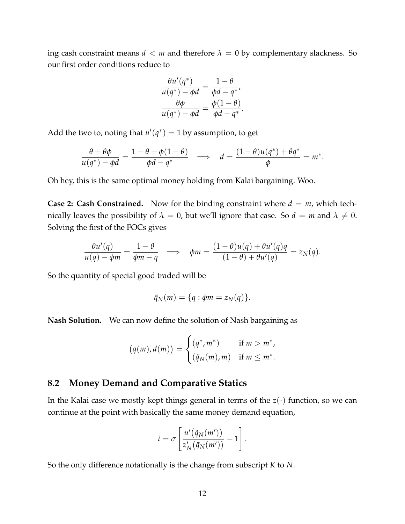ing cash constraint means  $d < m$  and therefore  $\lambda = 0$  by complementary slackness. So our first order conditions reduce to

$$
\frac{\theta u'(q^*)}{u(q^*)-\phi d}=\frac{1-\theta}{\phi d-q^*},
$$

$$
\frac{\theta\phi}{u(q^*)-\phi d}=\frac{\phi(1-\theta)}{\phi d-q^*}.
$$

Add the two to, noting that  $u'(q^*) = 1$  by assumption, to get

$$
\frac{\theta + \theta \phi}{u(q^*) - \phi d} = \frac{1 - \theta + \phi(1 - \theta)}{\phi d - q^*} \implies d = \frac{(1 - \theta)u(q^*) + \theta q^*}{\phi} = m^*.
$$

Oh hey, this is the same optimal money holding from Kalai bargaining. Woo.

**Case 2: Cash Constrained.** Now for the binding constraint where  $d = m$ , which technically leaves the possibility of  $\lambda = 0$ , but we'll ignore that case. So  $d = m$  and  $\lambda \neq 0$ . Solving the first of the FOCs gives

$$
\frac{\theta u'(q)}{u(q) - \phi m} = \frac{1 - \theta}{\phi m - q} \implies \phi m = \frac{(1 - \theta)u(q) + \theta u'(q)q}{(1 - \theta) + \theta u'(q)} = z_N(q).
$$

So the quantity of special good traded will be

$$
\tilde{q}_N(m) = \{q : \phi m = z_N(q)\}.
$$

**Nash Solution.** We can now define the solution of Nash bargaining as

$$
(q(m), d(m)) = \begin{cases} (q^*, m^*) & \text{if } m > m^*, \\ (\tilde{q}_N(m), m) & \text{if } m \leq m^*. \end{cases}
$$

## **8.2 Money Demand and Comparative Statics**

In the Kalai case we mostly kept things general in terms of the  $z(\cdot)$  function, so we can continue at the point with basically the same money demand equation,

$$
i = \sigma \left[ \frac{u'(\tilde{q}_N(m'))}{z'_N(\tilde{q}_N(m'))} - 1 \right].
$$

So the only difference notationally is the change from subscript *K* to *N*.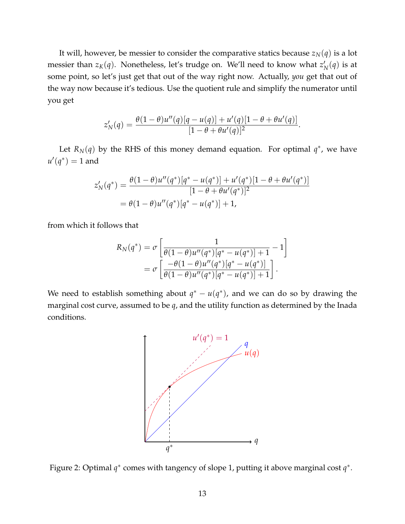It will, however, be messier to consider the comparative statics because  $z_N(q)$  is a lot messier than  $z_K(q)$ . Nonetheless, let's trudge on. We'll need to know what  $z^\prime_I$  $'_{N}(q)$  is at some point, so let's just get that out of the way right now. Actually, *you* get that out of the way now because it's tedious. Use the quotient rule and simplify the numerator until you get

$$
z_N'(q) = \frac{\theta(1-\theta)u''(q)[q-u(q)]+u'(q)[1-\theta+\theta u'(q)]}{[1-\theta+\theta u'(q)]^2}.
$$

Let  $R_N(q)$  by the RHS of this money demand equation. For optimal  $q^*$ , we have  $u'(q^*) = 1$  and

$$
z'_{N}(q^{*}) = \frac{\theta(1-\theta)u''(q^{*})[q^{*}-u(q^{*})] + u'(q^{*})[1-\theta+\theta u'(q^{*})]}{[1-\theta+\theta u'(q^{*})]^{2}}
$$
  
=  $\theta(1-\theta)u''(q^{*})[q^{*}-u(q^{*})] + 1$ ,

from which it follows that

$$
R_N(q^*) = \sigma \left[ \frac{1}{\theta(1-\theta)u''(q^*)[q^*-u(q^*)]+1} - 1 \right]
$$
  
= 
$$
\sigma \left[ \frac{-\theta(1-\theta)u''(q^*)[q^*-u(q^*)]}{\theta(1-\theta)u''(q^*)[q^*-u(q^*)]+1} \right].
$$

We need to establish something about  $q^* - u(q^*)$ , and we can do so by drawing the marginal cost curve, assumed to be *q*, and the utility function as determined by the Inada conditions.



Figure 2: Optimal *q*<sup>\*</sup> comes with tangency of slope 1, putting it above marginal cost *q*<sup>\*</sup>.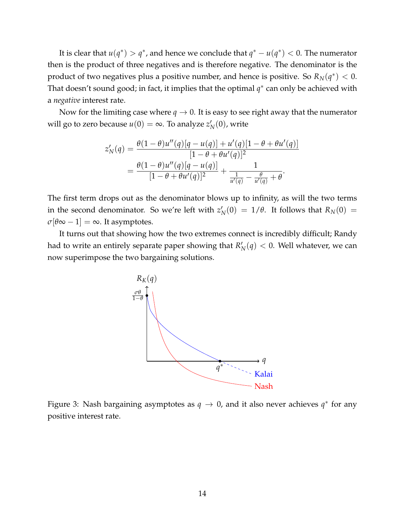It is clear that  $u(q^*) > q^*$ , and hence we conclude that  $q^* - u(q^*) < 0$ . The numerator then is the product of three negatives and is therefore negative. The denominator is the product of two negatives plus a positive number, and hence is positive. So  $R_N(q^*) < 0$ . That doesn't sound good; in fact, it implies that the optimal  $q^*$  can only be achieved with a *negative* interest rate.

Now for the limiting case where  $q \to 0$ . It is easy to see right away that the numerator will go to zero because  $u(0) = \infty$ . To analyze  $z_1$  $'_{N}(0)$ , write

$$
z'_{N}(q) = \frac{\theta(1-\theta)u''(q)[q-u(q)]+u'(q)[1-\theta+\theta u'(q)]}{[1-\theta+\theta u'(q)]^{2}}
$$
  
= 
$$
\frac{\theta(1-\theta)u''(q)[q-u(q)]}{[1-\theta+\theta u'(q)]^{2}} + \frac{1}{\frac{1}{u'(q)}-\frac{\theta}{u'(q)}+\theta}.
$$

The first term drops out as the denominator blows up to infinity, as will the two terms in the second denominator. So we're left with  $z'_{\ell}$  $N_N(0) = 1/\theta$ . It follows that  $R_N(0) = 1$  $\sigma[\theta\infty-1]=\infty$ . It asymptotes.

It turns out that showing how the two extremes connect is incredibly difficult; Randy had to write an entirely separate paper showing that *R* ′  $N_N(q) < 0$ . Well whatever, we can now superimpose the two bargaining solutions.



Figure 3: Nash bargaining asymptotes as  $q \to 0$ , and it also never achieves  $q^*$  for any positive interest rate.